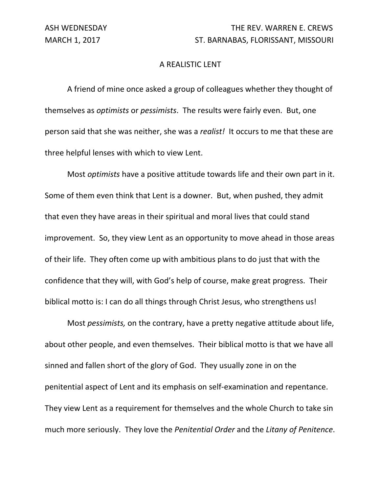## A REALISTIC LENT

 A friend of mine once asked a group of colleagues whether they thought of themselves as *optimists* or *pessimists*. The results were fairly even. But, one person said that she was neither, she was a *realist!* It occurs to me that these are three helpful lenses with which to view Lent.

 Most *optimists* have a positive attitude towards life and their own part in it. Some of them even think that Lent is a downer. But, when pushed, they admit that even they have areas in their spiritual and moral lives that could stand improvement. So, they view Lent as an opportunity to move ahead in those areas of their life. They often come up with ambitious plans to do just that with the confidence that they will, with God's help of course, make great progress. Their biblical motto is: I can do all things through Christ Jesus, who strengthens us!

 Most *pessimists,* on the contrary, have a pretty negative attitude about life, about other people, and even themselves. Their biblical motto is that we have all sinned and fallen short of the glory of God. They usually zone in on the penitential aspect of Lent and its emphasis on self‐examination and repentance. They view Lent as a requirement for themselves and the whole Church to take sin much more seriously. They love the *Penitential Order* and the *Litany of Penitence*.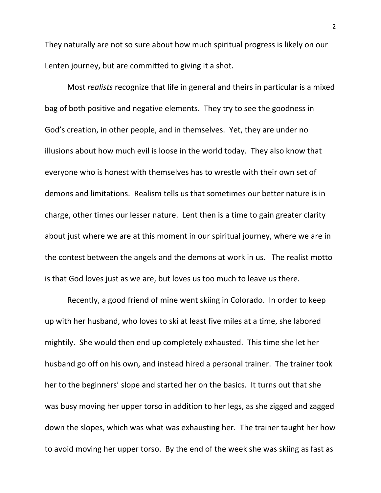They naturally are not so sure about how much spiritual progress is likely on our Lenten journey, but are committed to giving it a shot.

 Most *realists* recognize that life in general and theirs in particular is a mixed bag of both positive and negative elements. They try to see the goodness in God's creation, in other people, and in themselves. Yet, they are under no illusions about how much evil is loose in the world today. They also know that everyone who is honest with themselves has to wrestle with their own set of demons and limitations. Realism tells us that sometimes our better nature is in charge, other times our lesser nature. Lent then is a time to gain greater clarity about just where we are at this moment in our spiritual journey, where we are in the contest between the angels and the demons at work in us. The realist motto is that God loves just as we are, but loves us too much to leave us there.

 Recently, a good friend of mine went skiing in Colorado. In order to keep up with her husband, who loves to ski at least five miles at a time, she labored mightily. She would then end up completely exhausted. This time she let her husband go off on his own, and instead hired a personal trainer. The trainer took her to the beginners' slope and started her on the basics. It turns out that she was busy moving her upper torso in addition to her legs, as she zigged and zagged down the slopes, which was what was exhausting her. The trainer taught her how to avoid moving her upper torso. By the end of the week she was skiing as fast as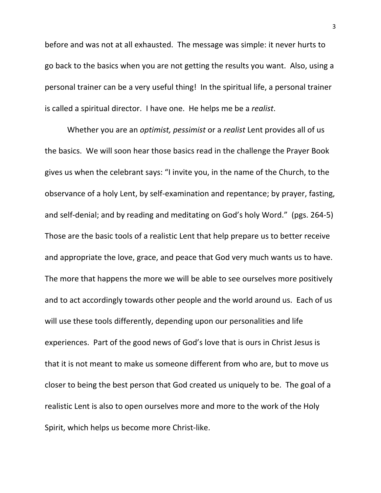before and was not at all exhausted. The message was simple: it never hurts to go back to the basics when you are not getting the results you want. Also, using a personal trainer can be a very useful thing! In the spiritual life, a personal trainer is called a spiritual director. I have one. He helps me be a *realist*.

 Whether you are an *optimist, pessimist* or a *realist* Lent provides all of us the basics. We will soon hear those basics read in the challenge the Prayer Book gives us when the celebrant says: "I invite you, in the name of the Church, to the observance of a holy Lent, by self‐examination and repentance; by prayer, fasting, and self-denial; and by reading and meditating on God's holy Word." (pgs. 264-5) Those are the basic tools of a realistic Lent that help prepare us to better receive and appropriate the love, grace, and peace that God very much wants us to have. The more that happens the more we will be able to see ourselves more positively and to act accordingly towards other people and the world around us. Each of us will use these tools differently, depending upon our personalities and life experiences. Part of the good news of God's love that is ours in Christ Jesus is that it is not meant to make us someone different from who are, but to move us closer to being the best person that God created us uniquely to be. The goal of a realistic Lent is also to open ourselves more and more to the work of the Holy Spirit, which helps us become more Christ‐like.